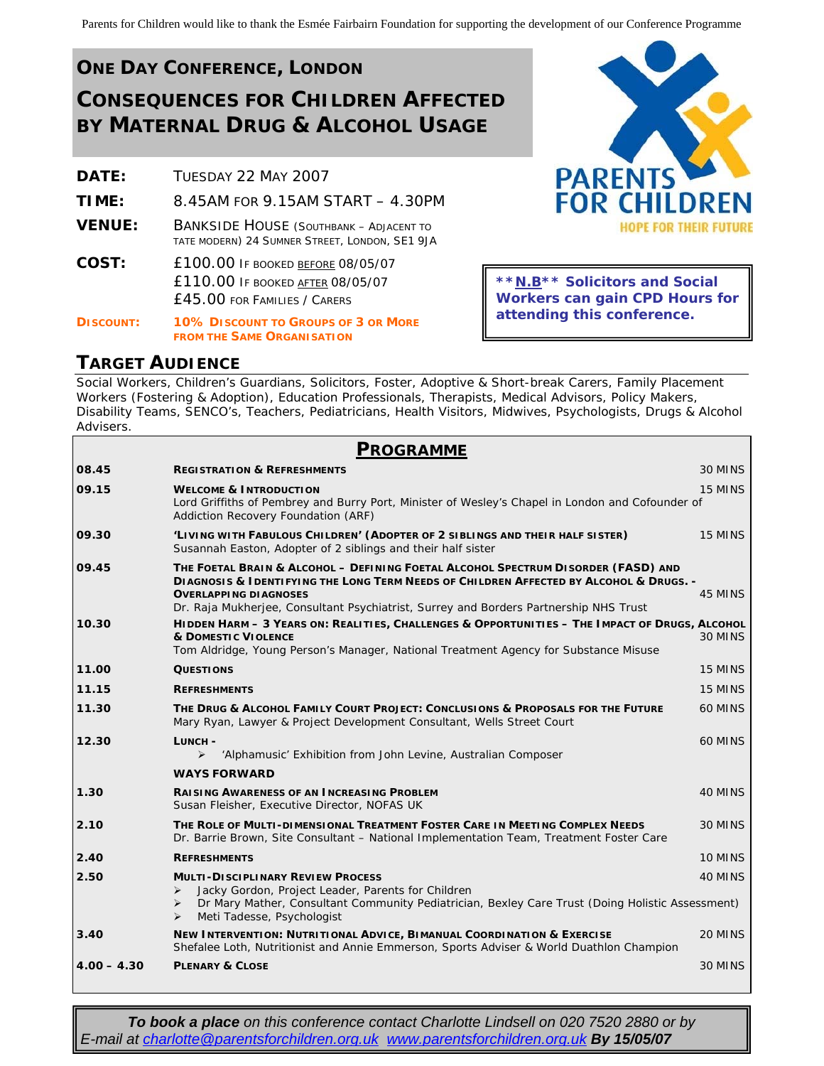# **ONE DAY CONFERENCE, LONDON CONSEQUENCES FOR CHILDREN AFFECTED BY MATERNAL DRUG & ALCOHOL USAGE**

| DATE:            | TUESDAY 22 MAY 2007                                                                                                 |  |
|------------------|---------------------------------------------------------------------------------------------------------------------|--|
| TIME:            | 8.45AM FOR 9.15AM START - 4.30PM                                                                                    |  |
| <b>VENUE:</b>    | <b>BANKSIDE HOUSE (SOUTHBANK - ADJACENT TO</b><br>TATE MODERN) 24 SUMNER STREET, LONDON, SE1 9JA                    |  |
| COST:            | <b>£100.00 IF BOOKED BEFORE 08/05/07</b><br><b>£110.00 IF BOOKED AFTER 08/05/07</b><br>£45.00 FOR FAMILIES / CARERS |  |
| <b>DISCOUNT:</b> | <b>10% DISCOUNT TO GROUPS OF 3 OR MORE</b>                                                                          |  |

**FROM THE SAME ORGANISATION**



**\*\*N.B\*\* Solicitors and Social Workers can gain CPD Hours for attending this conference.**

### **TARGET AUDIENCE**

Social Workers, Children's Guardians, Solicitors, Foster, Adoptive & Short-break Carers, Family Placement Workers (Fostering & Adoption), Education Professionals, Therapists, Medical Advisors, Policy Makers, Disability Teams, SENCO's, Teachers, Pediatricians, Health Visitors, Midwives, Psychologists, Drugs & Alcohol Advisers.

| <b>PROGRAMME</b> |                                                                                                                                                                                                                                                 |         |  |
|------------------|-------------------------------------------------------------------------------------------------------------------------------------------------------------------------------------------------------------------------------------------------|---------|--|
| 08.45            | <b>REGISTRATION &amp; REFRESHMENTS</b>                                                                                                                                                                                                          | 30 MINS |  |
| 09.15            | <b>WELCOME &amp; INTRODUCTION</b><br>Lord Griffiths of Pembrey and Burry Port, Minister of Wesley's Chapel in London and Cofounder of                                                                                                           | 15 MINS |  |
|                  | Addiction Recovery Foundation (ARF)                                                                                                                                                                                                             |         |  |
| 09.30            | 'LIVING WITH FABULOUS CHILDREN' (ADOPTER OF 2 SIBLINGS AND THEIR HALF SISTER)<br>Susannah Easton, Adopter of 2 siblings and their half sister                                                                                                   | 15 MINS |  |
| 09.45            | THE FOETAL BRAIN & ALCOHOL - DEFINING FOETAL ALCOHOL SPECTRUM DISORDER (FASD) AND<br><b>DIAGNOSIS &amp; IDENTIFYING THE LONG TERM NEEDS OF CHILDREN AFFECTED BY ALCOHOL &amp; DRUGS. -</b>                                                      |         |  |
|                  | <b>OVERLAPPING DIAGNOSES</b><br>Dr. Raja Mukherjee, Consultant Psychiatrist, Surrey and Borders Partnership NHS Trust                                                                                                                           | 45 MINS |  |
| 10.30            | HIDDEN HARM - 3 YEARS ON: REALITIES, CHALLENGES & OPPORTUNITIES - THE IMPACT OF DRUGS, ALCOHOL                                                                                                                                                  |         |  |
|                  | <b>&amp; DOMESTIC VIOLENCE</b><br>Tom Aldridge, Young Person's Manager, National Treatment Agency for Substance Misuse                                                                                                                          | 30 MINS |  |
| 11.00            | <b>QUESTIONS</b>                                                                                                                                                                                                                                | 15 MINS |  |
| 11.15            | <b>REFRESHMENTS</b>                                                                                                                                                                                                                             | 15 MINS |  |
| 11.30            | THE DRUG & ALCOHOL FAMILY COURT PROJECT: CONCLUSIONS & PROPOSALS FOR THE FUTURE<br>Mary Ryan, Lawyer & Project Development Consultant, Wells Street Court                                                                                       | 60 MINS |  |
| 12.30            | LUNCH -                                                                                                                                                                                                                                         | 60 MINS |  |
|                  | $\blacktriangleright$<br>'Alphamusic' Exhibition from John Levine, Australian Composer                                                                                                                                                          |         |  |
|                  | <b>WAYS FORWARD</b>                                                                                                                                                                                                                             |         |  |
| 1.30             | <b>RAISING AWARENESS OF AN INCREASING PROBLEM</b><br>Susan Fleisher, Executive Director, NOFAS UK                                                                                                                                               | 40 MINS |  |
| 2.10             | THE ROLE OF MULTI-DIMENSIONAL TREATMENT FOSTER CARE IN MEETING COMPLEX NEEDS<br>Dr. Barrie Brown, Site Consultant - National Implementation Team, Treatment Foster Care                                                                         | 30 MINS |  |
| 2.40             | <b>REFRESHMENTS</b>                                                                                                                                                                                                                             | 10 MINS |  |
| 2.50             | <b>MULTI-DISCIPLINARY REVIEW PROCESS</b><br>Jacky Gordon, Project Leader, Parents for Children<br>➤<br>Dr Mary Mather, Consultant Community Pediatrician, Bexley Care Trust (Doing Holistic Assessment)<br>➤<br>Meti Tadesse, Psychologist<br>➤ | 40 MINS |  |
| 3.40             | NEW INTERVENTION: NUTRITIONAL ADVICE, BIMANUAL COORDINATION & EXERCISE<br>Shefalee Loth, Nutritionist and Annie Emmerson, Sports Adviser & World Duathlon Champion                                                                              | 20 MINS |  |
| $4.00 - 4.30$    | <b>PLENARY &amp; CLOSE</b>                                                                                                                                                                                                                      | 30 MINS |  |

**To book a place** on this conference contact Charlotte Lindsell on 020 7520 2880 or by *E-mail at [charlotte@parentsforchildren.org.uk](mailto:charlotte@parentsforchildren.org.uk) [www.parentsforchildren.org.uk](http://www.parentsforchildren.org.uk/) By 15/05/07*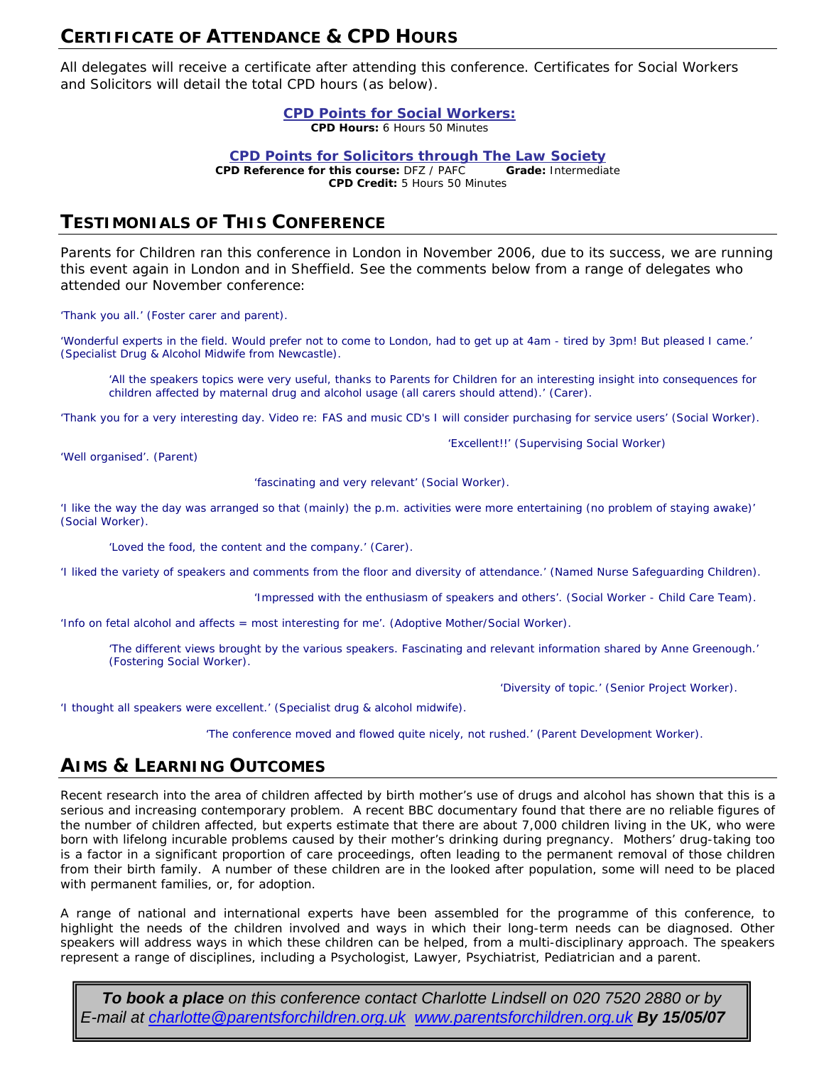## **CERTIFICATE OF ATTENDANCE & CPD HOURS**

All delegates will receive a certificate after attending this conference. Certificates for Social Workers and Solicitors will detail the total CPD hours (as below).

#### **CPD Points for Social Workers:**

**CPD Hours:** 6 Hours 50 Minutes

**CPD Points for Solicitors through The Law Society**

**CPD Reference for this course:** DFZ / PAFC **Grade:** Intermediate **CPD Credit:** 5 Hours 50 Minutes

# **TESTIMONIALS OF THIS CONFERENCE**

Parents for Children ran this conference in London in November 2006, due to its success, we are running this event again in London and in Sheffield. See the comments below from a range of delegates who attended our November conference:

*'Thank you all.' (Foster carer and parent).* 

*'Wonderful experts in the field. Would prefer not to come to London, had to get up at 4am - tired by 3pm! But pleased I came.' (Specialist Drug & Alcohol Midwife from Newcastle).* 

*'All the speakers topics were very useful, thanks to Parents for Children for an interesting insight into consequences for children affected by maternal drug and alcohol usage (all carers should attend).' (Carer).* 

*'Thank you for a very interesting day. Video re: FAS and music CD's I will consider purchasing for service users' (Social Worker).* 

*'Well organised'. (Parent)* 

*'fascinating and very relevant' (Social Worker).* 

*'I like the way the day was arranged so that (mainly) the p.m. activities were more entertaining (no problem of staying awake)' (Social Worker).* 

*'Loved the food, the content and the company.' (Carer).* 

*'I liked the variety of speakers and comments from the floor and diversity of attendance.' (Named Nurse Safeguarding Children).*

*'Impressed with the enthusiasm of speakers and others'. (Social Worker - Child Care Team).* 

*'Excellent!!' (Supervising Social Worker)* 

*'Info on fetal alcohol and affects = most interesting for me'. (Adoptive Mother/Social Worker).* 

*'The different views brought by the various speakers. Fascinating and relevant information shared by Anne Greenough.' (Fostering Social Worker).* 

 *'Diversity of topic.' (Senior Project Worker).* 

*'I thought all speakers were excellent.' (Specialist drug & alcohol midwife).* 

*'The conference moved and flowed quite nicely, not rushed.' (Parent Development Worker).*

# **AIMS & LEARNING OUTCOMES**

Recent research into the area of children affected by birth mother's use of drugs and alcohol has shown that this is a serious and increasing contemporary problem. A recent BBC documentary found that there are no reliable figures of the number of children affected, but experts estimate that there are about 7,000 children living in the UK, who were born with lifelong incurable problems caused by their mother's drinking during pregnancy. Mothers' drug-taking too is a factor in a significant proportion of care proceedings, often leading to the permanent removal of those children from their birth family. A number of these children are in the looked after population, some will need to be placed with permanent families, or, for adoption.

A range of national and international experts have been assembled for the programme of this conference, to highlight the needs of the children involved and ways in which their long-term needs can be diagnosed. Other speakers will address ways in which these children can be helped, from a multi-disciplinary approach. The speakers represent a range of disciplines, including a Psychologist, Lawyer, Psychiatrist, Pediatrician and a parent.

*To book a place on this conference contact Charlotte Lindsell on 020 7520 2880 or by E-mail at [charlotte@parentsforchildren.org.uk](mailto:charlotte@parentsforchildren.org.uk) [www.parentsforchildren.org.uk](http://www.parentsforchildren.org.uk/) By 15/05/07*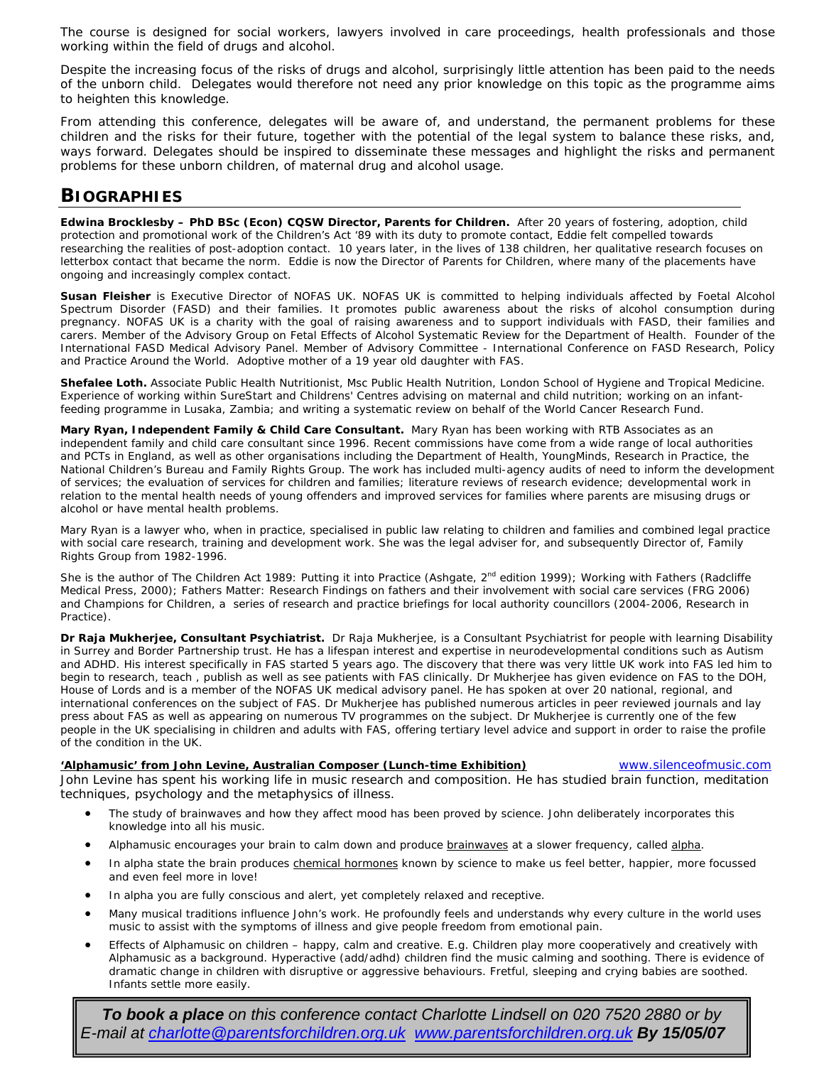The course is designed for social workers, lawyers involved in care proceedings, health professionals and those working within the field of drugs and alcohol.

Despite the increasing focus of the risks of drugs and alcohol, surprisingly little attention has been paid to the needs of the unborn child. Delegates would therefore not need any prior knowledge on this topic as the programme aims to heighten this knowledge.

From attending this conference, delegates will be aware of, and understand, the permanent problems for these children and the risks for their future, together with the potential of the legal system to balance these risks, and, ways forward. Delegates should be inspired to disseminate these messages and highlight the risks and permanent problems for these unborn children, of maternal drug and alcohol usage.

### **BIOGRAPHIES**

**Edwina Brocklesby – PhD BSc (Econ) CQSW Director, Parents for Children.** After 20 years of fostering, adoption, child protection and promotional work of the Children's Act '89 with its duty to promote contact, Eddie felt compelled towards researching the realities of post-adoption contact. 10 years later, in the lives of 138 children, her qualitative research focuses on letterbox contact that became the norm. Eddie is now the Director of Parents for Children, where many of the placements have ongoing and increasingly complex contact.

**Susan Fleisher** is Executive Director of NOFAS UK. NOFAS UK is committed to helping individuals affected by Foetal Alcohol Spectrum Disorder (FASD) and their families. It promotes public awareness about the risks of alcohol consumption during pregnancy. NOFAS UK is a charity with the goal of raising awareness and to support individuals with FASD, their families and carers. Member of the Advisory Group on Fetal Effects of Alcohol Systematic Review for the Department of Health. Founder of the International FASD Medical Advisory Panel. Member of Advisory Committee - International Conference on FASD Research, Policy and Practice Around the World. Adoptive mother of a 19 year old daughter with FAS.

**Shefalee Loth.** Associate Public Health Nutritionist, Msc Public Health Nutrition, London School of Hygiene and Tropical Medicine. Experience of working within SureStart and Childrens' Centres advising on maternal and child nutrition; working on an infantfeeding programme in Lusaka, Zambia; and writing a systematic review on behalf of the World Cancer Research Fund.

**Mary Ryan, Independent Family & Child Care Consultant.** Mary Ryan has been working with RTB Associates as an independent family and child care consultant since 1996. Recent commissions have come from a wide range of local authorities and PCTs in England, as well as other organisations including the Department of Health, YoungMinds, Research in Practice, the National Children's Bureau and Family Rights Group. The work has included multi-agency audits of need to inform the development of services; the evaluation of services for children and families; literature reviews of research evidence; developmental work in relation to the mental health needs of young offenders and improved services for families where parents are misusing drugs or alcohol or have mental health problems.

Mary Ryan is a lawyer who, when in practice, specialised in public law relating to children and families and combined legal practice with social care research, training and development work. She was the legal adviser for, and subsequently Director of, Family Rights Group from 1982-1996.

She is the author of The Children Act 1989: Putting it into Practice (Ashgate, 2<sup>nd</sup> edition 1999); Working with Fathers (Radcliffe Medical Press, 2000); Fathers Matter: Research Findings on fathers and their involvement with social care services (FRG 2006) and Champions for Children, a series of research and practice briefings for local authority councillors (2004-2006, Research in Practice).

**Dr Raja Mukherjee, Consultant Psychiatrist.** Dr Raja Mukherjee, is a Consultant Psychiatrist for people with learning Disability in Surrey and Border Partnership trust. He has a lifespan interest and expertise in neurodevelopmental conditions such as Autism and ADHD. His interest specifically in FAS started 5 years ago. The discovery that there was very little UK work into FAS led him to begin to research, teach , publish as well as see patients with FAS clinically. Dr Mukherjee has given evidence on FAS to the DOH, House of Lords and is a member of the NOFAS UK medical advisory panel. He has spoken at over 20 national, regional, and international conferences on the subject of FAS. Dr Mukherjee has published numerous articles in peer reviewed journals and lay press about FAS as well as appearing on numerous TV programmes on the subject. Dr Mukherjee is currently one of the few people in the UK specialising in children and adults with FAS, offering tertiary level advice and support in order to raise the profile of the condition in the UK.

#### **'Alphamusic' from John Levine, Australian Composer (Lunch-time Exhibition)** [www.silenceofmusic.com](http://www.silenceofmusic.com/)

John Levine has spent his working life in music research and composition. He has studied brain function, meditation techniques, psychology and the metaphysics of illness.

- The study of brainwaves and how they affect mood has been proved by science. John deliberately incorporates this knowledge into all his music.
- Alphamusic encourages your brain to calm down and produce [brainwaves](http://www.silenceofmusic.com/articles/brainwaves1.html) at a slower frequency, called [alpha.](http://www.silenceofmusic.com/articles/brainwaves2.html)
- In *alpha* state the brain produces [chemical hormones](http://www.silenceofmusic.com/articles/brainwaves2.html) known by science to make us feel better, happier, more focussed and even feel more in love!
- In *alpha* you are fully conscious and alert, yet completely relaxed and receptive.
- Many musical traditions influence John's work. He profoundly feels and understands why every culture in the world uses music to assist with the symptoms of illness and give people freedom from emotional pain.
- Effects of Alphamusic on children happy, calm and creative. E.g. Children play more cooperatively and creatively with Alphamusic as a background. Hyperactive (add/adhd) children find the music calming and soothing. There is evidence of *dramatic change* in children with disruptive or aggressive behaviours. Fretful, sleeping and crying babies are soothed. Infants settle more easily.

• *To book a place on this conference contact Charlotte Lindsell on 020 7520 2880 or by E-mail at [charlotte@parentsforchildren.org.uk](mailto:charlotte@parentsforchildren.org.uk) [www.parentsforchildren.org.uk](http://www.parentsforchildren.org.uk/) By 15/05/07*